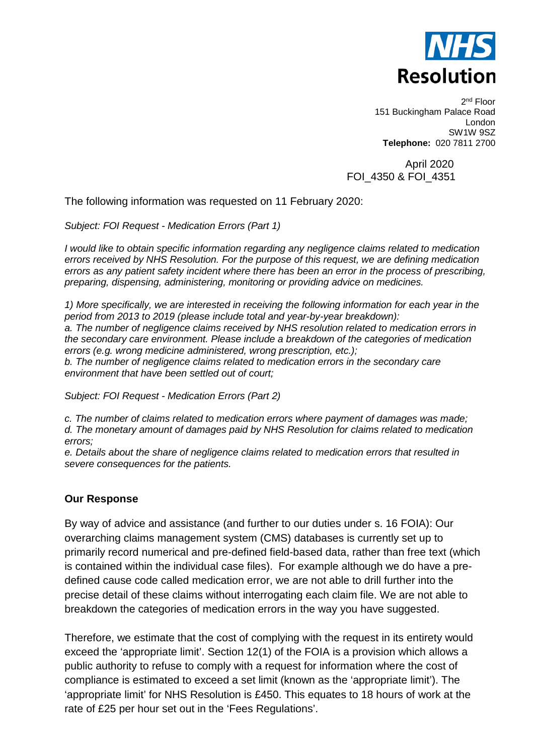

2nd Floor 151 Buckingham Palace Road London SW1W 9SZ **Telephone:** 020 7811 2700

 April 2020 FOI\_4350 & FOI\_4351

The following information was requested on 11 February 2020:

*Subject: FOI Request - Medication Errors (Part 1)* 

*I would like to obtain specific information regarding any negligence claims related to medication errors received by NHS Resolution. For the purpose of this request, we are defining medication errors as any patient safety incident where there has been an error in the process of prescribing, preparing, dispensing, administering, monitoring or providing advice on medicines.*

*1) More specifically, we are interested in receiving the following information for each year in the period from 2013 to 2019 (please include total and year-by-year breakdown): a. The number of negligence claims received by NHS resolution related to medication errors in the secondary care environment. Please include a breakdown of the categories of medication errors (e.g. wrong medicine administered, wrong prescription, etc.); b. The number of negligence claims related to medication errors in the secondary care environment that have been settled out of court;*

*Subject: FOI Request - Medication Errors (Part 2)*

*c. The number of claims related to medication errors where payment of damages was made; d. The monetary amount of damages paid by NHS Resolution for claims related to medication errors;*

*e. Details about the share of negligence claims related to medication errors that resulted in severe consequences for the patients.* 

### **Our Response**

By way of advice and assistance (and further to our duties under s. 16 FOIA): Our overarching claims management system (CMS) databases is currently set up to primarily record numerical and pre-defined field-based data, rather than free text (which is contained within the individual case files). For example although we do have a predefined cause code called medication error, we are not able to drill further into the precise detail of these claims without interrogating each claim file. We are not able to breakdown the categories of medication errors in the way you have suggested.

Therefore, we estimate that the cost of complying with the request in its entirety would exceed the 'appropriate limit'. Section 12(1) of the FOIA is a provision which allows a public authority to refuse to comply with a request for information where the cost of compliance is estimated to exceed a set limit (known as the 'appropriate limit'). The 'appropriate limit' for NHS Resolution is £450. This equates to 18 hours of work at the rate of £25 per hour set out in the 'Fees Regulations'.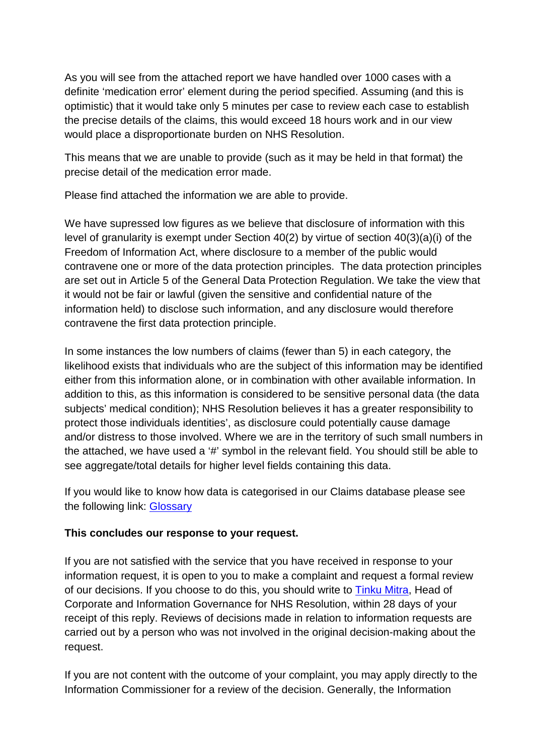As you will see from the attached report we have handled over 1000 cases with a definite 'medication error' element during the period specified. Assuming (and this is optimistic) that it would take only 5 minutes per case to review each case to establish the precise details of the claims, this would exceed 18 hours work and in our view would place a disproportionate burden on NHS Resolution.

This means that we are unable to provide (such as it may be held in that format) the precise detail of the medication error made.

Please find attached the information we are able to provide.

We have supressed low figures as we believe that disclosure of information with this level of granularity is exempt under Section 40(2) by virtue of section 40(3)(a)(i) of the Freedom of Information Act, where disclosure to a member of the public would contravene one or more of the data protection principles. The data protection principles are set out in Article 5 of the General Data Protection Regulation. We take the view that it would not be fair or lawful (given the sensitive and confidential nature of the information held) to disclose such information, and any disclosure would therefore contravene the first data protection principle.

In some instances the low numbers of claims (fewer than 5) in each category, the likelihood exists that individuals who are the subject of this information may be identified either from this information alone, or in combination with other available information. In addition to this, as this information is considered to be sensitive personal data (the data subjects' medical condition); NHS Resolution believes it has a greater responsibility to protect those individuals identities', as disclosure could potentially cause damage and/or distress to those involved. Where we are in the territory of such small numbers in the attached, we have used a '#' symbol in the relevant field. You should still be able to see aggregate/total details for higher level fields containing this data.

If you would like to know how data is categorised in our Claims database please see the following link: [Glossary](https://resolution.nhs.uk/wp-content/uploads/2018/10/Guidance-note-Understanding-NHS-Resolution-data-v2.pdf)

# **This concludes our response to your request.**

If you are not satisfied with the service that you have received in response to your information request, it is open to you to make a complaint and request a formal review of our decisions. If you choose to do this, you should write to [Tinku Mitra,](mailto:tinku.mitra@nhsla.com) Head of Corporate and Information Governance for NHS Resolution, within 28 days of your receipt of this reply. Reviews of decisions made in relation to information requests are carried out by a person who was not involved in the original decision-making about the request.

If you are not content with the outcome of your complaint, you may apply directly to the Information Commissioner for a review of the decision. Generally, the Information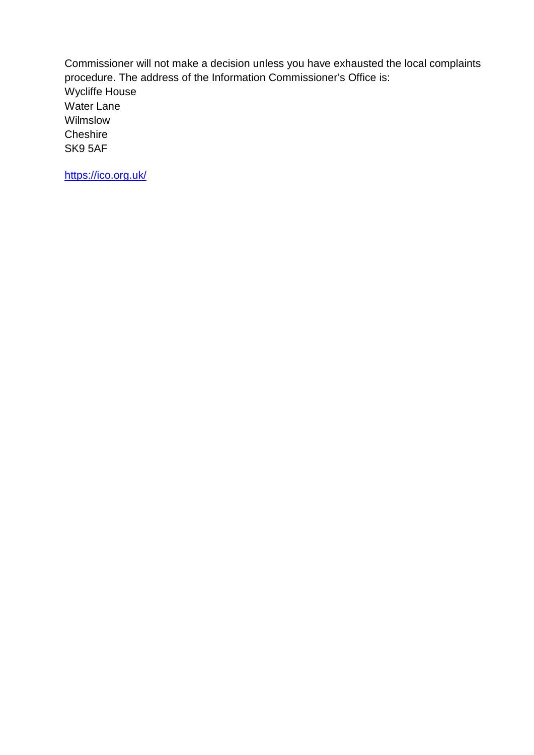Commissioner will not make a decision unless you have exhausted the local complaints procedure. The address of the Information Commissioner's Office is: Wycliffe House Water Lane Wilmslow **Cheshire** SK9 5AF

<https://ico.org.uk/>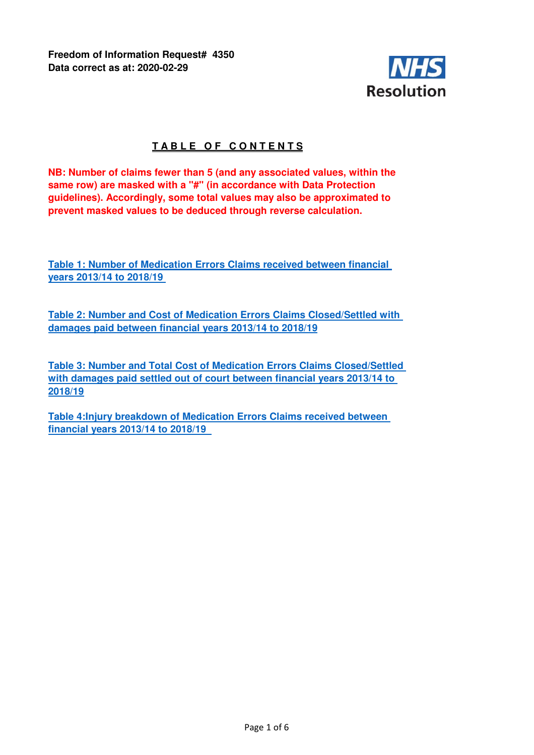**Freedom of Information Request# 4350 Data correct as at: 2020-02-29**



# **TABLE OF CONTENTS**

**NB: Number of claims fewer than 5 (and any associated values, within the same row) are masked with a "#" (in accordance with Data Protection guidelines). Accordingly, some total values may also be approximated to prevent masked values to be deduced through reverse calculation.**

**Table 1: Number of Medication Errors Claims received between financial years 2013/14 to 2018/19** 

**Table 2: Number and Cost of Medication Errors Claims Closed/Settled with damages paid between financial years 2013/14 to 2018/19**

**Table 3: Number and Total Cost of Medication Errors Claims Closed/Settled with damages paid settled out of court between financial years 2013/14 to 2018/19**

**Table 4:Injury breakdown of Medication Errors Claims received between financial years 2013/14 to 2018/19**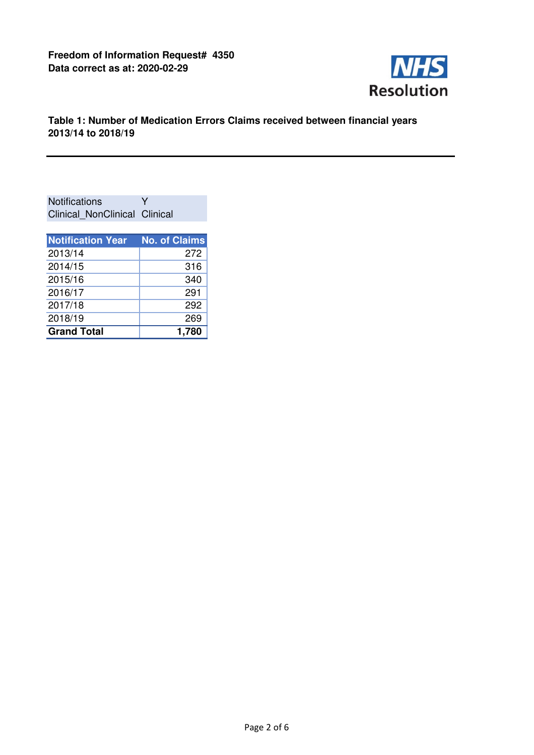

## **Table 1: Number of Medication Errors Claims received between financial years 2013/14 to 2018/19**

Notifications Y Clinical\_NonClinical Clinical

| <b>Notification Year</b> | <b>No. of Claims</b> |
|--------------------------|----------------------|
| 2013/14                  | 272                  |
| 2014/15                  | 316                  |
| 2015/16                  | 340                  |
| 2016/17                  | 291                  |
| 2017/18                  | 292                  |
| 2018/19                  | 269                  |
| <b>Grand Total</b>       | 1,780                |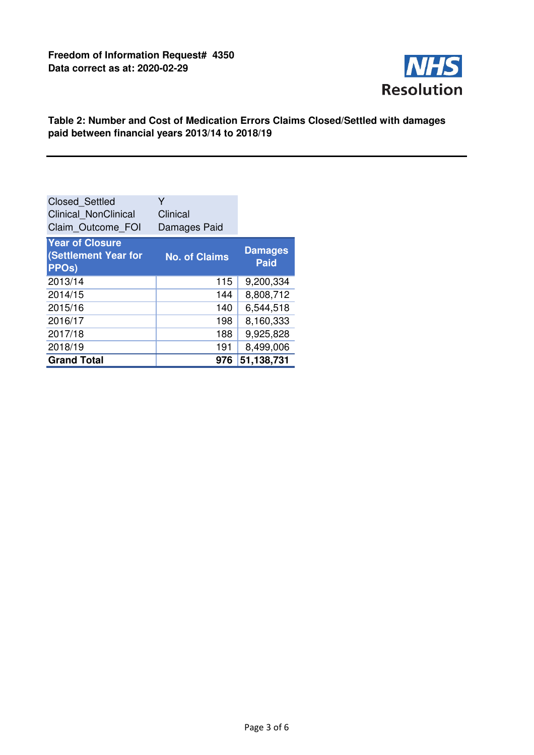

## **Table 2: Number and Cost of Medication Errors Claims Closed/Settled with damages paid between financial years 2013/14 to 2018/19**

| <b>Closed Settled</b><br><b>Clinical NonClinical</b><br>Claim Outcome FOI | Y<br>Clinical<br>Damages Paid |                               |
|---------------------------------------------------------------------------|-------------------------------|-------------------------------|
| <b>Year of Closure</b><br>(Settlement Year for<br>PPO <sub>s</sub> )      | <b>No. of Claims</b>          | <b>Damages</b><br><b>Paid</b> |
| 2013/14                                                                   | 115                           | 9,200,334                     |
| 2014/15                                                                   | 144                           | 8,808,712                     |
| 2015/16                                                                   | 140                           | 6,544,518                     |
| 2016/17                                                                   | 198                           | 8,160,333                     |
| 2017/18                                                                   | 188                           | 9,925,828                     |
| 2018/19                                                                   | 191                           | 8,499,006                     |
| <b>Grand Total</b>                                                        | 976                           | 51,138,731                    |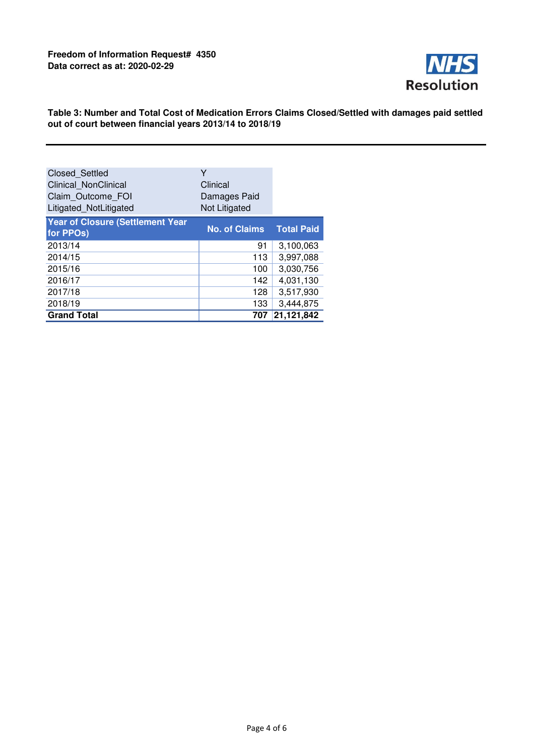

### **Table 3: Number and Total Cost of Medication Errors Claims Closed/Settled with damages paid settled out of court between financial years 2013/14 to 2018/19**

| <b>Closed Settled</b><br>Clinical NonClinical<br>Claim Outcome FOI<br>Litigated_NotLitigated | Υ<br>Clinical<br>Damages Paid<br>Not Litigated |                   |
|----------------------------------------------------------------------------------------------|------------------------------------------------|-------------------|
| <b>Year of Closure (Settlement Year</b><br>for PPOs)                                         | <b>No. of Claims</b>                           | <b>Total Paid</b> |
| 2013/14                                                                                      | 91                                             | 3,100,063         |
| 2014/15                                                                                      | 113                                            | 3,997,088         |
| 2015/16                                                                                      | 100                                            | 3,030,756         |
| 2016/17                                                                                      | 142                                            | 4,031,130         |
| 2017/18                                                                                      | 128                                            | 3,517,930         |
| 2018/19                                                                                      | 133                                            | 3,444,875         |
| <b>Grand Total</b>                                                                           | 707                                            | 21,121,842        |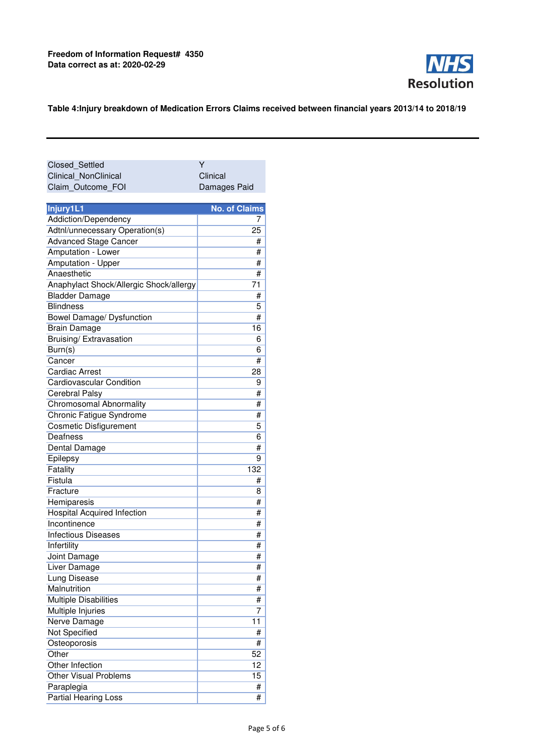

#### **Table 4:Injury breakdown of Medication Errors Claims received between financial years 2013/14 to 2018/19**

| Closed Settled       | v            |
|----------------------|--------------|
| Clinical NonClinical | Clinical     |
| Claim Outcome FOI    | Damages Paid |

| Injury1L1                               | <b>No. of Claims</b> |
|-----------------------------------------|----------------------|
| Addiction/Dependency                    | 7                    |
| Adtnl/unnecessary Operation(s)          | 25                   |
| <b>Advanced Stage Cancer</b>            | #                    |
| Amputation - Lower                      | #                    |
| Amputation - Upper                      | #                    |
| Anaesthetic                             | #                    |
| Anaphylact Shock/Allergic Shock/allergy | 71                   |
| <b>Bladder Damage</b>                   | #                    |
| <b>Blindness</b>                        | 5                    |
| Bowel Damage/ Dysfunction               | #                    |
| Brain Damage                            | 16                   |
| Bruising/ Extravasation                 | 6                    |
| Burn(s)                                 | 6                    |
| Cancer                                  | #                    |
| <b>Cardiac Arrest</b>                   | 28                   |
| <b>Cardiovascular Condition</b>         | 9                    |
| <b>Cerebral Palsy</b>                   | #                    |
| Chromosomal Abnormality                 | #                    |
| Chronic Fatigue Syndrome                | #                    |
| <b>Cosmetic Disfigurement</b>           | 5                    |
| Deafness                                | 6                    |
| Dental Damage                           | #                    |
| Epilepsy                                | 9                    |
| Fatality                                | 132                  |
| Fistula                                 | #                    |
| Fracture                                | 8                    |
| Hemiparesis                             | #                    |
| <b>Hospital Acquired Infection</b>      | #                    |
| Incontinence                            | #                    |
| <b>Infectious Diseases</b>              | #                    |
| Infertility                             | #                    |
| Joint Damage                            | #                    |
| Liver Damage                            | #                    |
| Lung Disease                            | #                    |
| Malnutrition                            | #                    |
| <b>Multiple Disabilities</b>            | #                    |
| Multiple Injuries                       | 7                    |
| Nerve Damage                            | 11                   |
| Not Specified                           | #                    |
| Osteoporosis                            | #                    |
| Other                                   | 52                   |
| Other Infection                         | 12                   |
| <b>Other Visual Problems</b>            | 15                   |
| Paraplegia                              | #                    |
| Partial Hearing Loss                    | #                    |